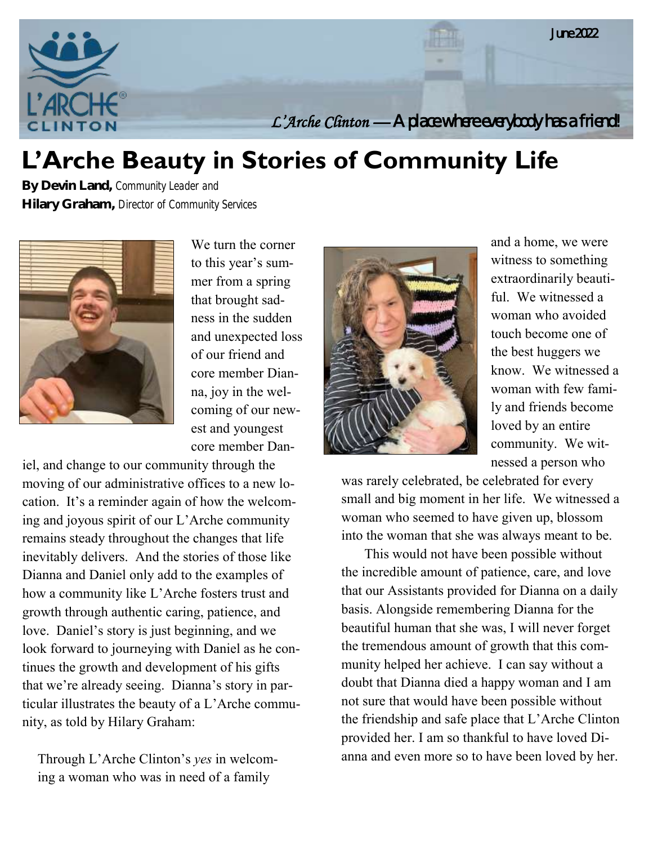

# **L'Arche Beauty in Stories of Community Life**

**By Devin Land,** *Community Leader and*  **Hilary Graham,** *Director of Community Services*



We turn the corner to this year's summer from a spring that brought sadness in the sudden and unexpected loss of our friend and core member Dianna, joy in the welcoming of our newest and youngest core member Dan-

iel, and change to our community through the moving of our administrative offices to a new location. It's a reminder again of how the welcoming and joyous spirit of our L'Arche community remains steady throughout the changes that life inevitably delivers. And the stories of those like Dianna and Daniel only add to the examples of how a community like L'Arche fosters trust and growth through authentic caring, patience, and love. Daniel's story is just beginning, and we look forward to journeying with Daniel as he continues the growth and development of his gifts that we're already seeing. Dianna's story in particular illustrates the beauty of a L'Arche community, as told by Hilary Graham:

Through L'Arche Clinton's *yes* in welcoming a woman who was in need of a family



and a home, we were witness to something extraordinarily beautiful. We witnessed a woman who avoided touch become one of the best huggers we know. We witnessed a woman with few family and friends become loved by an entire community. We witnessed a person who

was rarely celebrated, be celebrated for every small and big moment in her life. We witnessed a woman who seemed to have given up, blossom into the woman that she was always meant to be.

This would not have been possible without the incredible amount of patience, care, and love that our Assistants provided for Dianna on a daily basis. Alongside remembering Dianna for the beautiful human that she was, I will never forget the tremendous amount of growth that this community helped her achieve. I can say without a doubt that Dianna died a happy woman and I am not sure that would have been possible without the friendship and safe place that L'Arche Clinton provided her. I am so thankful to have loved Dianna and even more so to have been loved by her.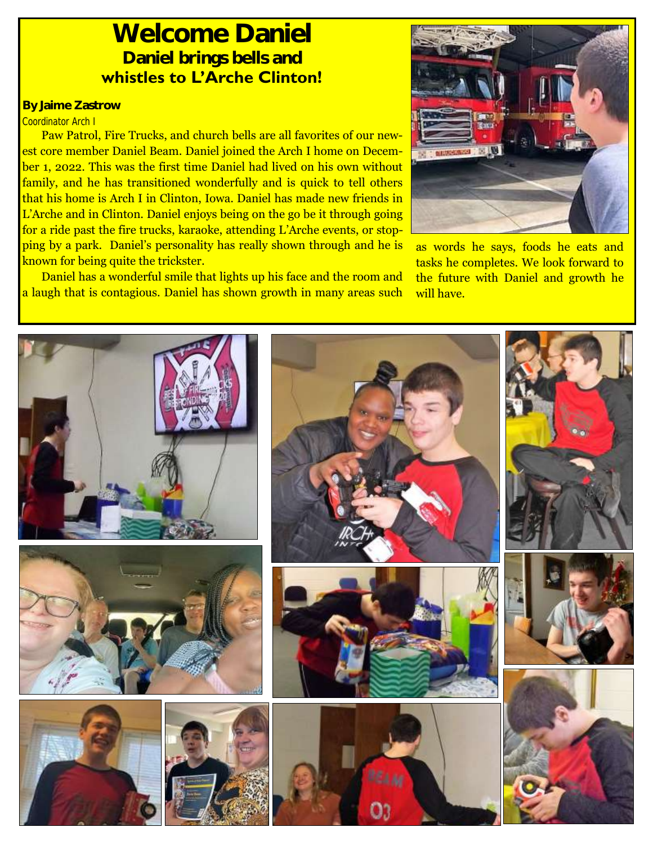## **Welcome Daniel Daniel brings bells and whistles to L'Arche Clinton!**

### **By Jaime Zastrow**

#### *Coordinator Arch I*

Paw Patrol, Fire Trucks, and church bells are all favorites of our newest core member Daniel Beam. Daniel joined the Arch I home on December 1, 2022. This was the first time Daniel had lived on his own without family, and he has transitioned wonderfully and is quick to tell others that his home is Arch I in Clinton, Iowa. Daniel has made new friends in L'Arche and in Clinton. Daniel enjoys being on the go be it through going for a ride past the fire trucks, karaoke, attending L'Arche events, or stopping by a park. Daniel's personality has really shown through and he is known for being quite the trickster.

Daniel has a wonderful smile that lights up his face and the room and a laugh that is contagious. Daniel has shown growth in many areas such



as words he says, foods he eats and tasks he completes. We look forward to the future with Daniel and growth he will have.

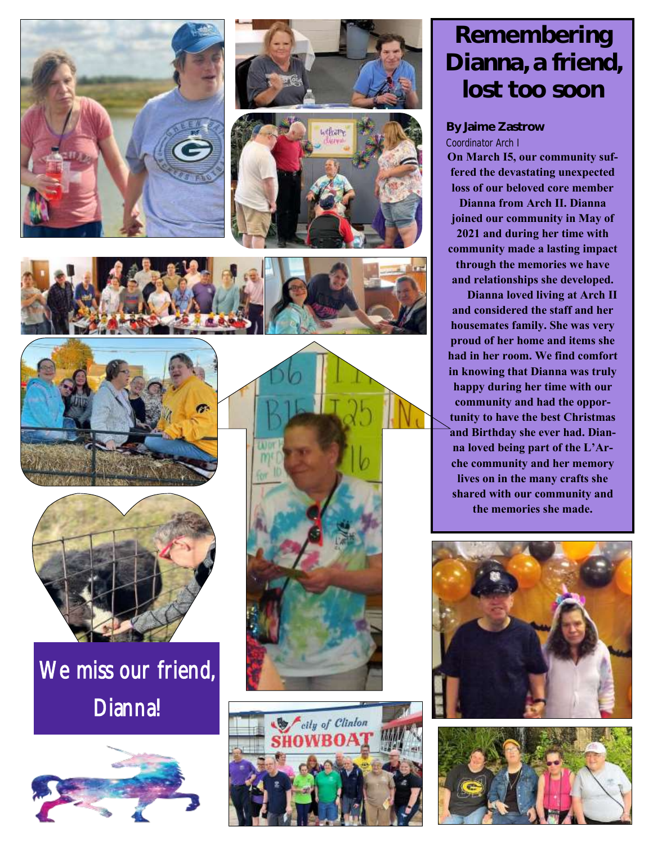











# We miss our friend, Dianna!





![](_page_2_Picture_9.jpeg)

## **Remembering Dianna, a friend, lost too soon**

### **By Jaime Zastrow** *Coordinator Arch I*

**On March I5, our community suffered the devastating unexpected loss of our beloved core member Dianna from Arch II. Dianna joined our community in May of 2021 and during her time with community made a lasting impact through the memories we have and relationships she developed.** 

**Dianna loved living at Arch II and considered the staff and her housemates family. She was very proud of her home and items she had in her room. We find comfort in knowing that Dianna was truly happy during her time with our community and had the opportunity to have the best Christmas and Birthday she ever had. Dianna loved being part of the L'Arche community and her memory lives on in the many crafts she shared with our community and the memories she made.** 

![](_page_2_Picture_14.jpeg)

![](_page_2_Picture_15.jpeg)